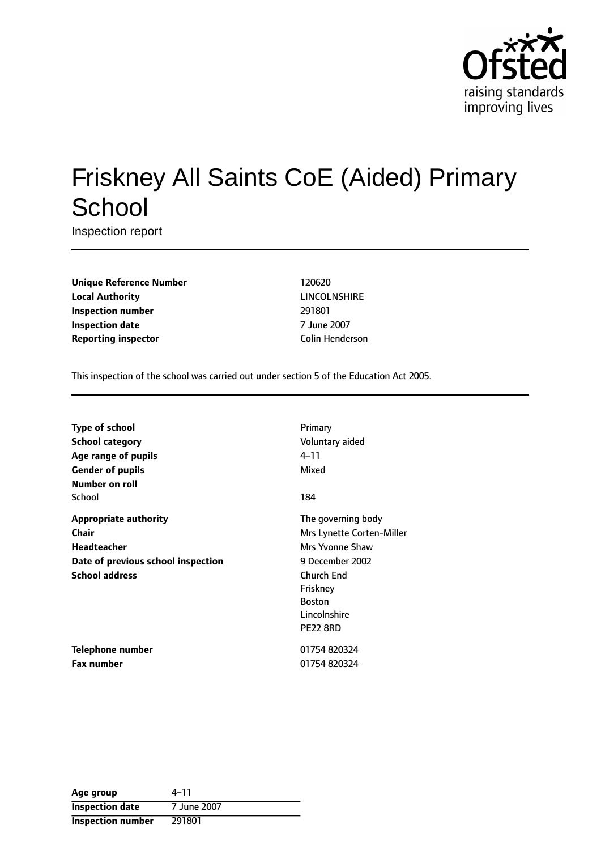

# Friskney All Saints CoE (Aided) Primary **School**

Inspection report

**Unique Reference Number** 120620 **Local Authority** LINCOLNSHIRE **Inspection number** 291801 **Inspection date** 7 June 2007 **Reporting inspector Colin Henderson** 

This inspection of the school was carried out under section 5 of the Education Act 2005.

| <b>Type of school</b>              | Primary                   |
|------------------------------------|---------------------------|
| <b>School category</b>             | Voluntary aided           |
| Age range of pupils                | 4–11                      |
| <b>Gender of pupils</b>            | Mixed                     |
| Number on roll                     |                           |
| School                             | 184                       |
| <b>Appropriate authority</b>       | The governing body        |
| Chair                              | Mrs Lynette Corten-Miller |
| Headteacher                        | Mrs Yvonne Shaw           |
| Date of previous school inspection | 9 December 2002           |
| <b>School address</b>              | <b>Church End</b>         |
|                                    | Friskney                  |
|                                    | <b>Boston</b>             |
|                                    | Lincolnshire              |
|                                    | <b>PE22 8RD</b>           |
| <b>Telephone number</b>            | 01754 820324              |
| <b>Fax number</b>                  | 01754 820324              |

Age group  $4-11$ **Inspection date** 7 June 2007 **Inspection number** 291801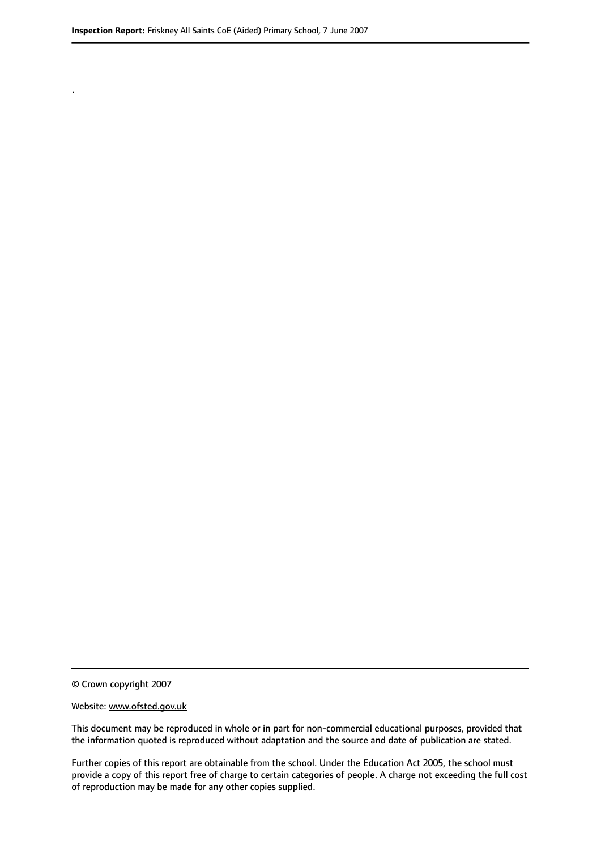.

© Crown copyright 2007

#### Website: www.ofsted.gov.uk

This document may be reproduced in whole or in part for non-commercial educational purposes, provided that the information quoted is reproduced without adaptation and the source and date of publication are stated.

Further copies of this report are obtainable from the school. Under the Education Act 2005, the school must provide a copy of this report free of charge to certain categories of people. A charge not exceeding the full cost of reproduction may be made for any other copies supplied.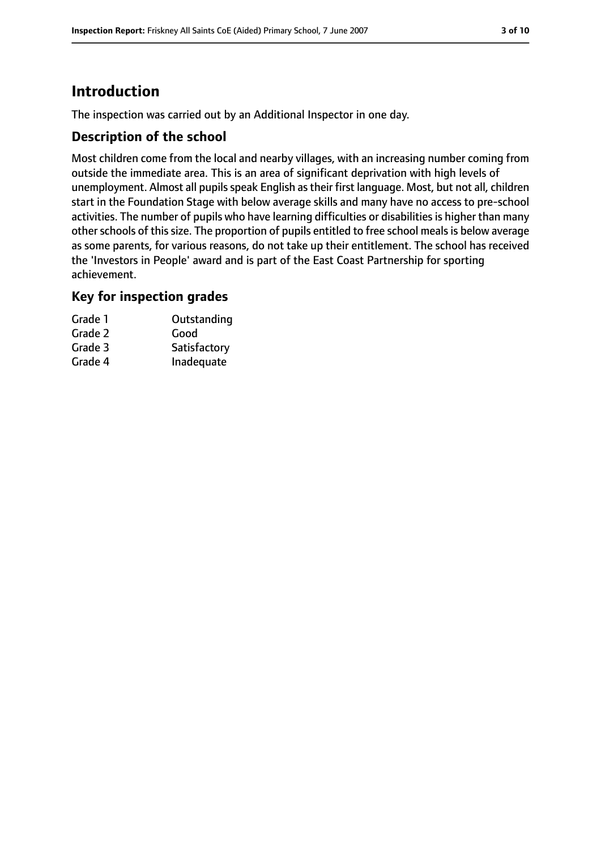# **Introduction**

The inspection was carried out by an Additional Inspector in one day.

## **Description of the school**

Most children come from the local and nearby villages, with an increasing number coming from outside the immediate area. This is an area of significant deprivation with high levels of unemployment. Almost all pupils speak English as their first language. Most, but not all, children start in the Foundation Stage with below average skills and many have no access to pre-school activities. The number of pupils who have learning difficulties or disabilities is higher than many other schools of this size. The proportion of pupils entitled to free school meals is below average as some parents, for various reasons, do not take up their entitlement. The school has received the 'Investors in People' award and is part of the East Coast Partnership for sporting achievement.

## **Key for inspection grades**

| Grade 1 | Outstanding  |
|---------|--------------|
| Grade 2 | Good         |
| Grade 3 | Satisfactory |
| Grade 4 | Inadequate   |
|         |              |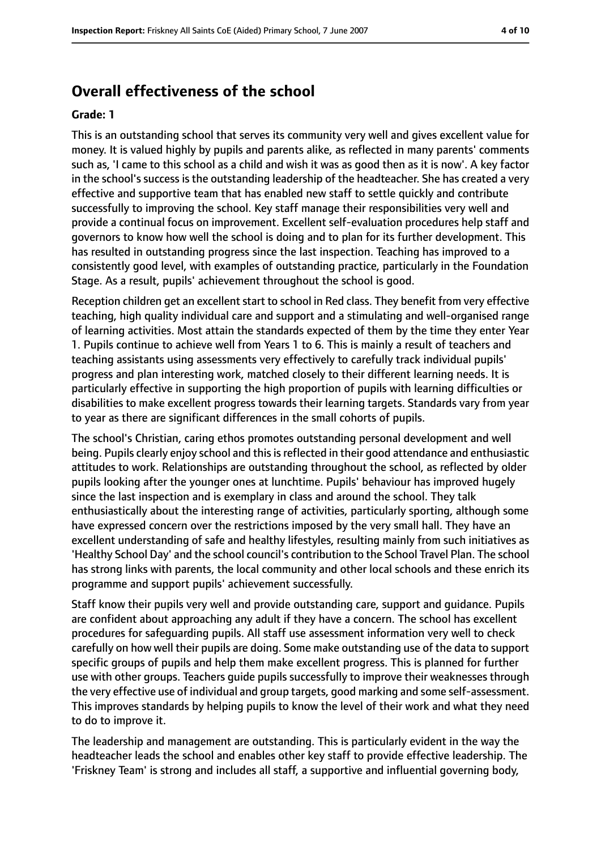# **Overall effectiveness of the school**

#### **Grade: 1**

This is an outstanding school that serves its community very well and gives excellent value for money. It is valued highly by pupils and parents alike, as reflected in many parents' comments such as, 'I came to this school as a child and wish it was as good then as it is now'. A key factor in the school's success is the outstanding leadership of the headteacher. She has created a very effective and supportive team that has enabled new staff to settle quickly and contribute successfully to improving the school. Key staff manage their responsibilities very well and provide a continual focus on improvement. Excellent self-evaluation procedures help staff and governors to know how well the school is doing and to plan for its further development. This has resulted in outstanding progress since the last inspection. Teaching has improved to a consistently good level, with examples of outstanding practice, particularly in the Foundation Stage. As a result, pupils' achievement throughout the school is good.

Reception children get an excellent start to school in Red class. They benefit from very effective teaching, high quality individual care and support and a stimulating and well-organised range of learning activities. Most attain the standards expected of them by the time they enter Year 1. Pupils continue to achieve well from Years 1 to 6. This is mainly a result of teachers and teaching assistants using assessments very effectively to carefully track individual pupils' progress and plan interesting work, matched closely to their different learning needs. It is particularly effective in supporting the high proportion of pupils with learning difficulties or disabilities to make excellent progress towards their learning targets. Standards vary from year to year as there are significant differences in the small cohorts of pupils.

The school's Christian, caring ethos promotes outstanding personal development and well being. Pupils clearly enjoy school and this is reflected in their good attendance and enthusiastic attitudes to work. Relationships are outstanding throughout the school, as reflected by older pupils looking after the younger ones at lunchtime. Pupils' behaviour has improved hugely since the last inspection and is exemplary in class and around the school. They talk enthusiastically about the interesting range of activities, particularly sporting, although some have expressed concern over the restrictions imposed by the very small hall. They have an excellent understanding of safe and healthy lifestyles, resulting mainly from such initiatives as 'Healthy School Day' and the school council's contribution to the School Travel Plan. The school has strong links with parents, the local community and other local schools and these enrich its programme and support pupils' achievement successfully.

Staff know their pupils very well and provide outstanding care, support and guidance. Pupils are confident about approaching any adult if they have a concern. The school has excellent procedures for safeguarding pupils. All staff use assessment information very well to check carefully on how well their pupils are doing. Some make outstanding use of the data to support specific groups of pupils and help them make excellent progress. This is planned for further use with other groups. Teachers guide pupils successfully to improve their weaknesses through the very effective use of individual and group targets, good marking and some self-assessment. This improves standards by helping pupils to know the level of their work and what they need to do to improve it.

The leadership and management are outstanding. This is particularly evident in the way the headteacher leads the school and enables other key staff to provide effective leadership. The 'Friskney Team' is strong and includes all staff, a supportive and influential governing body,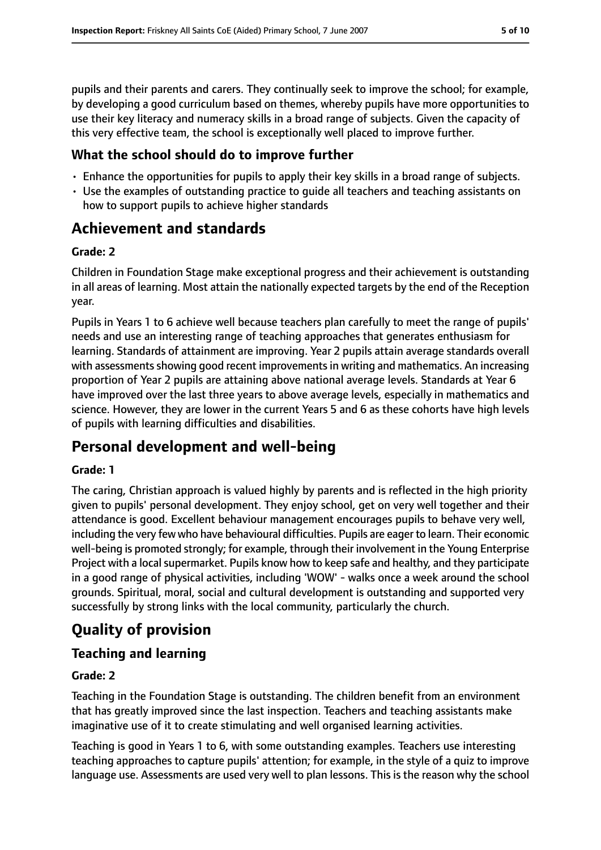pupils and their parents and carers. They continually seek to improve the school; for example, by developing a good curriculum based on themes, whereby pupils have more opportunities to use their key literacy and numeracy skills in a broad range of subjects. Given the capacity of this very effective team, the school is exceptionally well placed to improve further.

## **What the school should do to improve further**

- Enhance the opportunities for pupils to apply their key skills in a broad range of subjects.
- Use the examples of outstanding practice to guide all teachers and teaching assistants on how to support pupils to achieve higher standards

# **Achievement and standards**

#### **Grade: 2**

Children in Foundation Stage make exceptional progress and their achievement is outstanding in all areas of learning. Most attain the nationally expected targets by the end of the Reception year.

Pupils in Years 1 to 6 achieve well because teachers plan carefully to meet the range of pupils' needs and use an interesting range of teaching approaches that generates enthusiasm for learning. Standards of attainment are improving. Year 2 pupils attain average standards overall with assessments showing good recent improvements in writing and mathematics. An increasing proportion of Year 2 pupils are attaining above national average levels. Standards at Year 6 have improved over the last three years to above average levels, especially in mathematics and science. However, they are lower in the current Years 5 and 6 as these cohorts have high levels of pupils with learning difficulties and disabilities.

# **Personal development and well-being**

#### **Grade: 1**

The caring, Christian approach is valued highly by parents and is reflected in the high priority given to pupils' personal development. They enjoy school, get on very well together and their attendance is good. Excellent behaviour management encourages pupils to behave very well, including the very few who have behavioural difficulties. Pupils are eager to learn. Their economic well-being is promoted strongly; for example, through their involvement in the Young Enterprise Project with a local supermarket. Pupils know how to keep safe and healthy, and they participate in a good range of physical activities, including 'WOW' - walks once a week around the school grounds. Spiritual, moral, social and cultural development is outstanding and supported very successfully by strong links with the local community, particularly the church.

# **Quality of provision**

# **Teaching and learning**

## **Grade: 2**

Teaching in the Foundation Stage is outstanding. The children benefit from an environment that has greatly improved since the last inspection. Teachers and teaching assistants make imaginative use of it to create stimulating and well organised learning activities.

Teaching is good in Years 1 to 6, with some outstanding examples. Teachers use interesting teaching approaches to capture pupils' attention; for example, in the style of a quiz to improve language use. Assessments are used very well to plan lessons. This is the reason why the school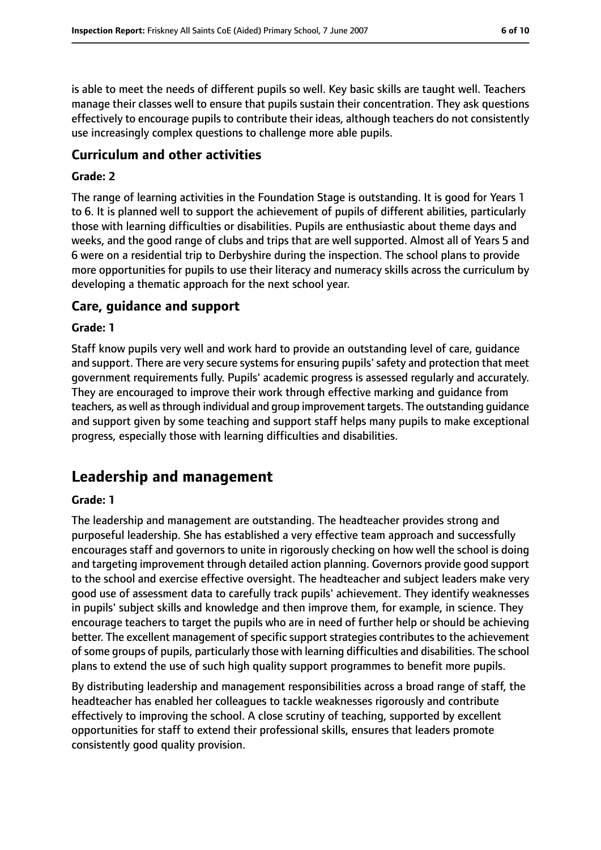is able to meet the needs of different pupils so well. Key basic skills are taught well. Teachers manage their classes well to ensure that pupils sustain their concentration. They ask questions effectively to encourage pupils to contribute their ideas, although teachers do not consistently use increasingly complex questions to challenge more able pupils.

#### **Curriculum and other activities**

#### **Grade: 2**

The range of learning activities in the Foundation Stage is outstanding. It is good for Years 1 to 6. It is planned well to support the achievement of pupils of different abilities, particularly those with learning difficulties or disabilities. Pupils are enthusiastic about theme days and weeks, and the good range of clubs and trips that are well supported. Almost all of Years 5 and 6 were on a residential trip to Derbyshire during the inspection. The school plans to provide more opportunities for pupils to use their literacy and numeracy skills across the curriculum by developing a thematic approach for the next school year.

#### **Care, guidance and support**

#### **Grade: 1**

Staff know pupils very well and work hard to provide an outstanding level of care, guidance and support. There are very secure systems for ensuring pupils' safety and protection that meet government requirements fully. Pupils' academic progress is assessed regularly and accurately. They are encouraged to improve their work through effective marking and guidance from teachers, as well asthrough individual and group improvement targets. The outstanding guidance and support given by some teaching and support staff helps many pupils to make exceptional progress, especially those with learning difficulties and disabilities.

# **Leadership and management**

#### **Grade: 1**

The leadership and management are outstanding. The headteacher provides strong and purposeful leadership. She has established a very effective team approach and successfully encourages staff and governors to unite in rigorously checking on how well the school is doing and targeting improvement through detailed action planning. Governors provide good support to the school and exercise effective oversight. The headteacher and subject leaders make very good use of assessment data to carefully track pupils' achievement. They identify weaknesses in pupils' subject skills and knowledge and then improve them, for example, in science. They encourage teachers to target the pupils who are in need of further help or should be achieving better. The excellent management of specific support strategies contributes to the achievement of some groups of pupils, particularly those with learning difficulties and disabilities. The school plans to extend the use of such high quality support programmes to benefit more pupils.

By distributing leadership and management responsibilities across a broad range of staff, the headteacher has enabled her colleagues to tackle weaknesses rigorously and contribute effectively to improving the school. A close scrutiny of teaching, supported by excellent opportunities for staff to extend their professional skills, ensures that leaders promote consistently good quality provision.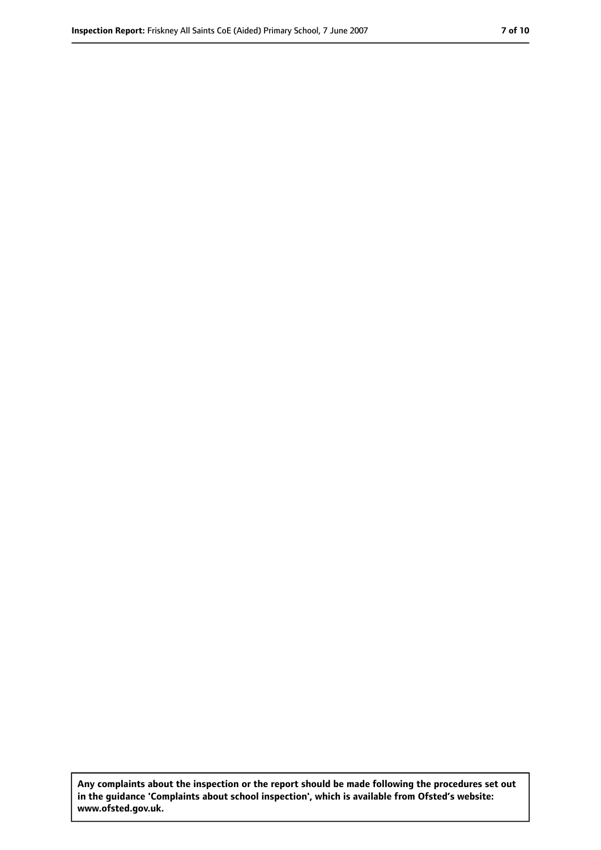**Any complaints about the inspection or the report should be made following the procedures set out in the guidance 'Complaints about school inspection', which is available from Ofsted's website: www.ofsted.gov.uk.**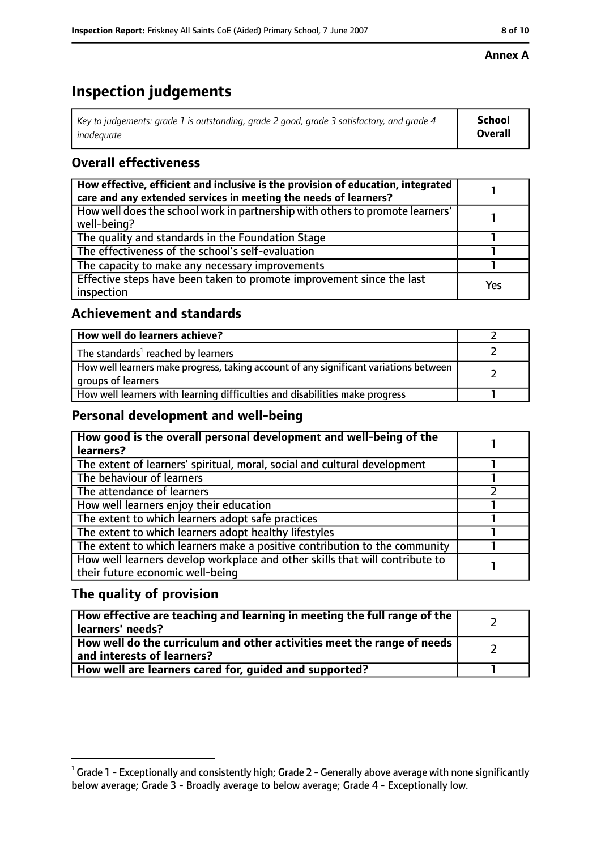#### **Annex A**

# **Inspection judgements**

| Key to judgements: grade 1 is outstanding, grade 2 good, grade 3 satisfactory, and grade 4 | School  |
|--------------------------------------------------------------------------------------------|---------|
| inadequate                                                                                 | Overall |

## **Overall effectiveness**

| How effective, efficient and inclusive is the provision of education, integrated<br>care and any extended services in meeting the needs of learners? |     |
|------------------------------------------------------------------------------------------------------------------------------------------------------|-----|
| How well does the school work in partnership with others to promote learners'<br>well-being?                                                         |     |
| The quality and standards in the Foundation Stage                                                                                                    |     |
| The effectiveness of the school's self-evaluation                                                                                                    |     |
| The capacity to make any necessary improvements                                                                                                      |     |
| Effective steps have been taken to promote improvement since the last<br>inspection                                                                  | Yes |

## **Achievement and standards**

| How well do learners achieve?                                                                               |  |
|-------------------------------------------------------------------------------------------------------------|--|
| The standards <sup>1</sup> reached by learners                                                              |  |
| How well learners make progress, taking account of any significant variations between<br>groups of learners |  |
| How well learners with learning difficulties and disabilities make progress                                 |  |

## **Personal development and well-being**

| How good is the overall personal development and well-being of the<br>learners? |  |
|---------------------------------------------------------------------------------|--|
|                                                                                 |  |
| The extent of learners' spiritual, moral, social and cultural development       |  |
| The behaviour of learners                                                       |  |
| The attendance of learners                                                      |  |
| How well learners enjoy their education                                         |  |
| The extent to which learners adopt safe practices                               |  |
| The extent to which learners adopt healthy lifestyles                           |  |
| The extent to which learners make a positive contribution to the community      |  |
| How well learners develop workplace and other skills that will contribute to    |  |
| their future economic well-being                                                |  |

## **The quality of provision**

| How effective are teaching and learning in meeting the full range of the<br>learners' needs?          |  |
|-------------------------------------------------------------------------------------------------------|--|
| How well do the curriculum and other activities meet the range of needs<br>and interests of learners? |  |
| How well are learners cared for, quided and supported?                                                |  |

 $^1$  Grade 1 - Exceptionally and consistently high; Grade 2 - Generally above average with none significantly below average; Grade 3 - Broadly average to below average; Grade 4 - Exceptionally low.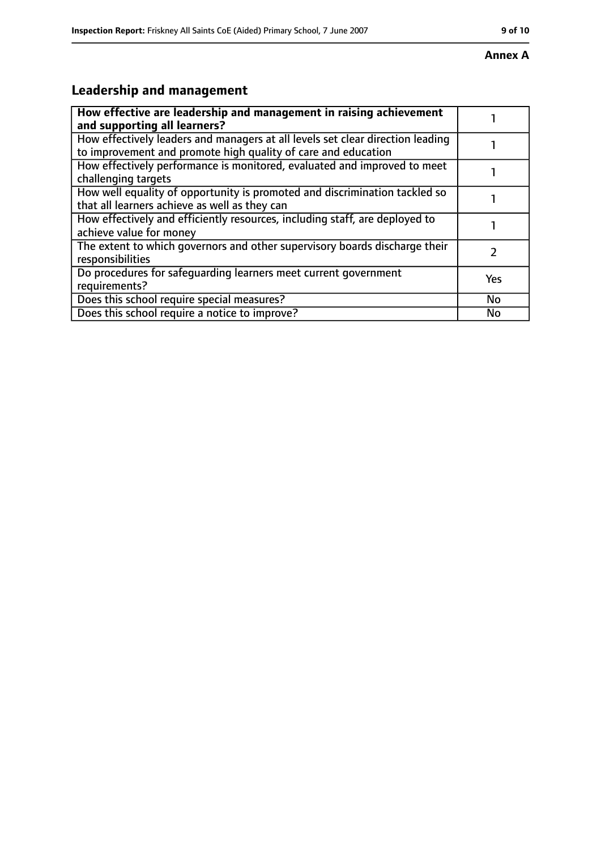#### **Annex A**

# **Leadership and management**

| How effective are leadership and management in raising achievement<br>and supporting all learners?                                              |           |
|-------------------------------------------------------------------------------------------------------------------------------------------------|-----------|
| How effectively leaders and managers at all levels set clear direction leading<br>to improvement and promote high quality of care and education |           |
| How effectively performance is monitored, evaluated and improved to meet<br>challenging targets                                                 |           |
| How well equality of opportunity is promoted and discrimination tackled so<br>that all learners achieve as well as they can                     |           |
| How effectively and efficiently resources, including staff, are deployed to<br>achieve value for money                                          |           |
| The extent to which governors and other supervisory boards discharge their<br>responsibilities                                                  |           |
| Do procedures for safequarding learners meet current government<br>requirements?                                                                | Yes       |
| Does this school require special measures?                                                                                                      | <b>No</b> |
| Does this school require a notice to improve?                                                                                                   | No        |